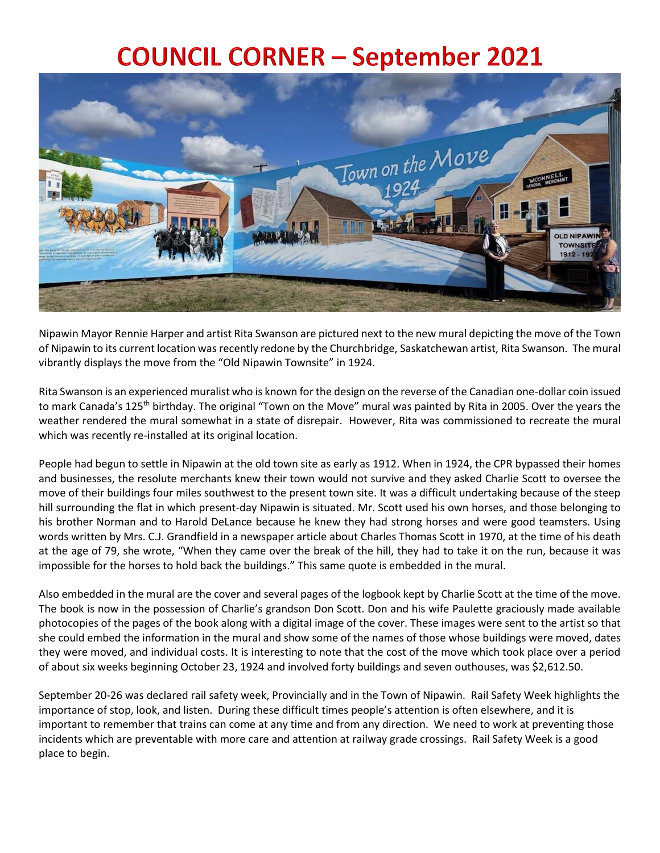## **COUNCIL CORNER - September 2021**



Nipawin Mayor Rennie Harper and artist Rita Swanson are pictured next to the new mural depicting the move of the Town of Nipawin to its current location was recently redone by the Churchbridge, Saskatchewan artist, Rita Swanson. The mural vibrantly displays the move from the "Old Nipawin Townsite" in 1924.

Rita Swanson is an experienced muralist who is known for the design on the reverse of the Canadian one-dollar coin issued to mark Canada's 125<sup>th</sup> birthday. The original "Town on the Move" mural was painted by Rita in 2005. Over the years the weather rendered the mural somewhat in a state of disrepair. However, Rita was commissioned to recreate the mural which was recently re-installed at its original location.

People had begun to settle in Nipawin at the old town site as early as 1912. When in 1924, the CPR bypassed their homes and businesses, the resolute merchants knew their town would not survive and they asked Charlie Scott to oversee the move of their buildings four miles southwest to the present town site. It was a difficult undertaking because of the steep hill surrounding the flat in which present-day Nipawin is situated. Mr. Scott used his own horses, and those belonging to his brother Norman and to Harold DeLance because he knew they had strong horses and were good teamsters. Using words written by Mrs. C.J. Grandfield in a newspaper article about Charles Thomas Scott in 1970, at the time of his death at the age of 79, she wrote, "When they came over the break of the hill, they had to take it on the run, because it was impossible for the horses to hold back the buildings." This same quote is embedded in the mural.

Also embedded in the mural are the cover and several pages of the logbook kept by Charlie Scott at the time of the move. The book is now in the possession of Charlie's grandson Don Scott. Don and his wife Paulette graciously made available photocopies of the pages of the book along with a digital image of the cover. These images were sent to the artist so that she could embed the information in the mural and show some of the names of those whose buildings were moved, dates they were moved, and individual costs. It is interesting to note that the cost of the move which took place over a period of about six weeks beginning October 23, 1924 and involved forty buildings and seven outhouses, was \$2,612.50.

September 20-26 was declared rail safety week, Provincially and in the Town of Nipawin. Rail Safety Week highlights the importance of stop, look, and listen. During these difficult times people's attention is often elsewhere, and it is important to remember that trains can come at any time and from any direction. We need to work at preventing those incidents which are preventable with more care and attention at railway grade crossings. Rail Safety Week is a good place to begin.